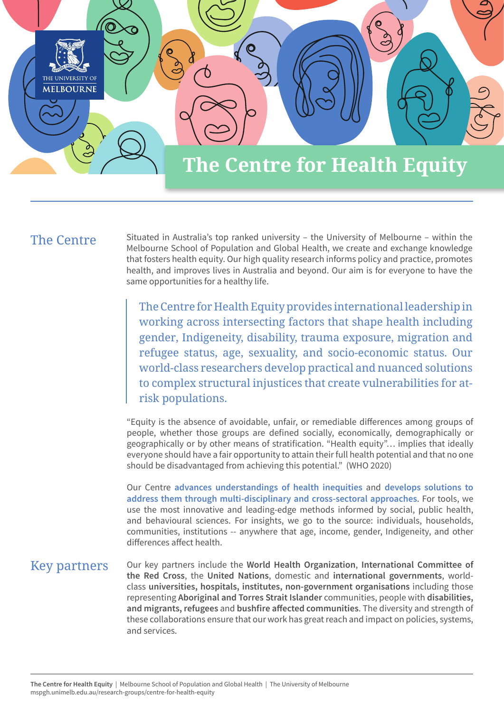

## The Centre

Situated in Australia's top ranked university – the University of Melbourne – within the Melbourne School of Population and Global Health, we create and exchange knowledge that fosters health equity. Our high quality research informs policy and practice, promotes health, and improves lives in Australia and beyond. Our aim is for everyone to have the same opportunities for a healthy life.

The Centre for Health Equity provides international leadership in working across intersecting factors that shape health including gender, Indigeneity, disability, trauma exposure, migration and refugee status, age, sexuality, and socio-economic status. Our world-class researchers develop practical and nuanced solutions to complex structural injustices that create vulnerabilities for atrisk populations.

"Equity is the absence of avoidable, unfair, or remediable differences among groups of people, whether those groups are defined socially, economically, demographically or geographically or by other means of stratification. "Health equity"… implies that ideally everyone should have a fair opportunity to attain their full health potential and that no one should be disadvantaged from achieving this potential." (WHO 2020)

Our Centre **advances understandings of health inequities** and **develops solutions to address them through multi-disciplinary and cross-sectoral approaches**. For tools, we use the most innovative and leading-edge methods informed by social, public health, and behavioural sciences. For insights, we go to the source: individuals, households, communities, institutions -- anywhere that age, income, gender, Indigeneity, and other differences affect health.

## Key partners

Our key partners include the **World Health Organization**, **International Committee of the Red Cross**, the **United Nations**, domestic and **international governments**, worldclass **universities, hospitals, institutes, non-government organisations** including those representing **Aboriginal and Torres Strait Islander** communities, people with **disabilities, and migrants, refugees** and **bushfire affected communities**. The diversity and strength of these collaborations ensure that our work has great reach and impact on policies, systems, and services.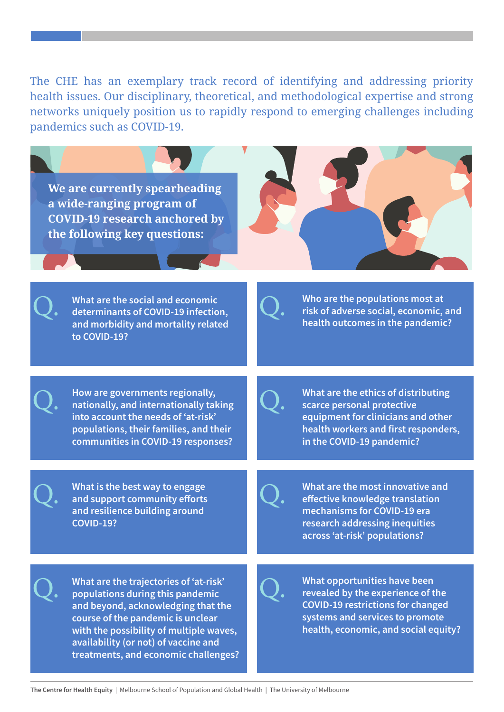The CHE has an exemplary track record of identifying and addressing priority health issues. Our disciplinary, theoretical, and methodological expertise and strong networks uniquely position us to rapidly respond to emerging challenges including pandemics such as COVID-19.

**We are currently spearheading a wide-ranging program of COVID-19 research anchored by the following key questions:**

**What are the social and economic determinants of COVID-19 infection, and morbidity and mortality related to COVID-19?**

Q.

Q.

Q.

Q.

**Who are the populations most at risk of adverse social, economic, and health outcomes in the pandemic?**

**How are governments regionally, nationally, and internationally taking into account the needs of 'at-risk' populations, their families, and their communities in COVID-19 responses?**

**What are the ethics of distributing scarce personal protective equipment for clinicians and other health workers and first responders, in the COVID-19 pandemic?**

**What is the best way to engage and support community efforts and resilience building around COVID-19?**

Q.

Q.

Q.

**What are the most innovative and effective knowledge translation mechanisms for COVID-19 era research addressing inequities across 'at-risk' populations?**

Q. **What are the trajectories of 'at-risk' populations during this pandemic and beyond, acknowledging that the course of the pandemic is unclear with the possibility of multiple waves, availability (or not) of vaccine and treatments, and economic challenges?**  **What opportunities have been revealed by the experience of the COVID-19 restrictions for changed systems and services to promote health, economic, and social equity?**